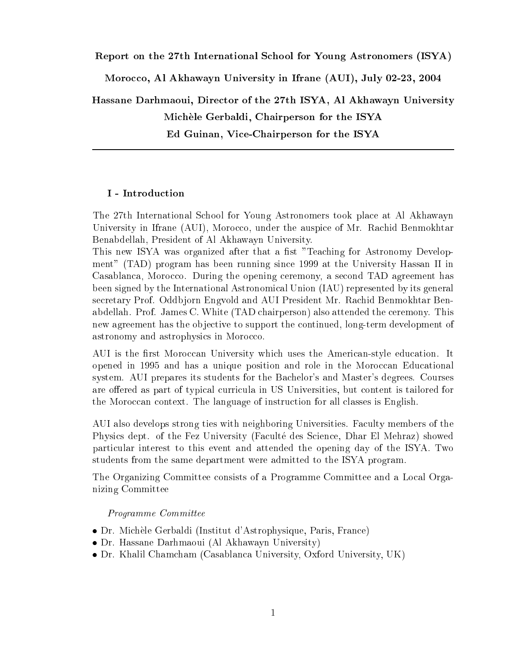#### Report on the 27th International S
hool for Young Astronomers (ISYA)

Morocco, Al Akhawayn University in Ifrane (AUI), July 02-23, 2004

Hassane Darhmaoui, Dire
tor of the 27th ISYA, Al Akhawayn University Michèle Gerbaldi, Chairperson for the ISYA Ed Guinan, Vi
e-Chairperson for the ISYA

#### I - Introdu
tion

The 27th International S
hool for Young Astronomers took pla
e at Al Akhawayn University in Ifrane (AUI), Morocco, under the auspice of Mr. Rachid Benmokhtar Benabdellah, President of Al Akhawayn University.

This new ISYA was organized after that a fist "Teaching for Astronomy Development" (TAD) program has been running sin
e 1999 at the University Hassan II in Casablanca, Morocco. During the opening ceremony, a second TAD agreement has been signed by the International Astronomi
al Union (IAU) represented by its general secretary Prof. Oddbjorn Engvold and AUI President Mr. Rachid Benmokhtar Benabdellah. Prof. James C. White (TAD hairperson) also attended the eremony. This new agreement has the objective to support the continued, long-term development of astronomy and astrophysics in Morocco.

AUI is the first Moroccan University which uses the American-style education. It opened in 1995 and has a unique position and role in the Moroccan Educational system. AUI prepares its students for the Bachelor's and Master's degrees. Courses are offered as part of typical curricula in US Universities, but content is tailored for the Moroccan context. The language of instruction for all classes is English.

AUI also develops strong ties with neighboring Universities. Faculty members of the Physics dept. of the Fez University (Faculté des Science, Dhar El Mehraz) showed parti
ular interest to this event and attended the opening day of the ISYA. Two students from the same department were admitted to the ISYA program.

The Organizing Committee onsists of a Programme Committee and a Lo
al Organizing Committee

Programme Committee

- Dr. Mi
hele Gerbaldi (Institut d'Astrophysique, Paris, Fran
e)
- Dr. Hassane Darhmaoui (Al Akhawayn University)
- Dr. Khalil Cham
ham (Casablan
a University, Oxford University, UK)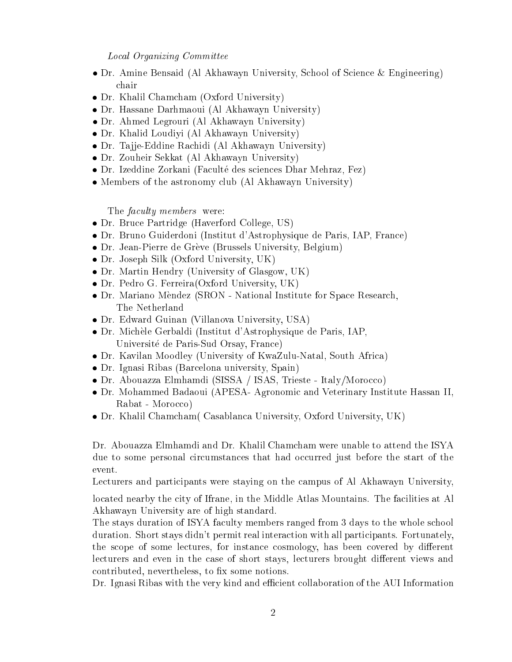### Lo
al Organizing Committee

- Dr. Amine Bensaid (Al Akhawayn University, School of Science & Engineering)
- Dr. Khalil Cham
ham (Oxford University)
- Dr. Hassane Darhmaoui (Al Akhawayn University)
- Dr. Ahmed Legrouri (Al Akhawayn University)
- Dr. Khalid Loudiyi (Al Akhawayn University)
- Dr. Ta jje-Eddine Ra
hidi (Al Akhawayn University)
- Dr. Zouheir Sekkat (Al Akhawayn University)
- Dr. Izeddine Zorkani (Faculté des sciences Dhar Mehraz, Fez)
- Members of the astronomy club (Al Akhawayn University)

The *faculty members* were:

- Dr. Bru
e Partridge (Haverford College, US)
- Dr. Bruno Guiderdoni (Institut d'Astrophysique de Paris, IAP, Fran
e)
- Dr. Jean-Pierre de Grève (Brussels University, Belgium)
- Dr. Joseph Silk (Oxford University, UK)
- Dr. Martin Hendry (University of Glasgow, UK)
- Dr. Pedro G. Ferreira(Oxford University, UK)
- Dr. Mariano Mèndez (SRON National Institute for Space Research, The Netherland
- Dr. Edward Guinan (Villanova University, USA)
- Dr. Mi
hele Gerbaldi (Institut d'Astrophysique de Paris, IAP, Universite de Paris-Sud Orsay, Fran
e)
- Dr. Kavilan Moodley (University of KwaZulu-Natal, South Afri
a)
- Dr. Ignasi Ribas (Bar
elona university, Spain)
- Dr. Abouazza Elmhamdi (SISSA / ISAS, Trieste Italy/Morocco)
- Dr. Mohammed Badaoui (APESA- Agronomi and Veterinary Institute Hassan II, Rabat - Morocco)
- Dr. Khalil Cham
ham( Casablan
a University, Oxford University, UK)

Dr. Abouazza Elmhamdi and Dr. Khalil Cham
ham were unable to attend the ISYA due to some personal circumstances that had occurred just before the start of the event.

Lecturers and participants were staying on the campus of Al Akhawayn University,

located nearby the city of Ifrane, in the Middle Atlas Mountains. The facilities at Al Akhawayn University are of high standard.

The stays duration of ISYA faculty members ranged from 3 days to the whole school duration. Short stays didn't permit real interaction with all participants. Fortunately, the scope of some lectures, for instance cosmology, has been covered by different lecturers and even in the case of short stays, lecturers brought different views and contributed, nevertheless, to fix some notions.

Dr. Ignasi Ribas with the very kind and efficient collaboration of the AUI Information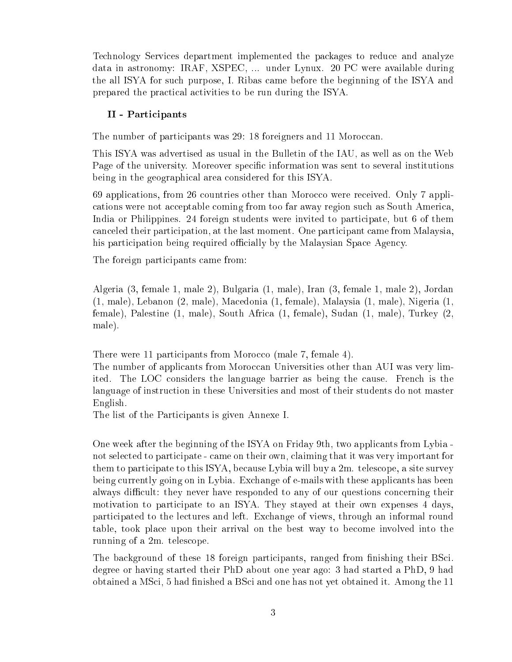Te
hnology Servi
es department implemented the pa
kages to redu
e and analyze data in astronomy: IRAF, XSPEC, ... under Lynux. 20 PC were available during the all ISYA for such purpose, I. Ribas came before the beginning of the ISYA and prepared the practical activities to be run during the ISYA.

# II - Parti
ipants

The number of participants was 29: 18 foreigners and 11 Moroccan.

This ISYA was advertised as usual in the Bulletin of the IAU, as well as on the Web Page of the university. Moreover specific information was sent to several institutions being in the geographical area considered for this ISYA.

69 applications, from 26 countries other than Morocco were received. Only 7 applications were not acceptable coming from too far away region such as South America, India or Philippines. 24 foreign students were invited to participate, but 6 of them canceled their participation, at the last moment. One participant came from Malaysia, his participation being required officially by the Malaysian Space Agency.

The foreign participants came from:

Algeria (3, female 1, male 2), Bulgaria (1, male), Iran (3, female 1, male 2), Jordan (1, male), Lebanon (2, male), Ma
edonia (1, female), Malaysia (1, male), Nigeria (1, female), Palestine (1, male), South Afri
a (1, female), Sudan (1, male), Turkey (2, male).

There were 11 participants from Morocco (male 7, female 4).

The number of applicants from Moroccan Universities other than AUI was very limited. The LOC onsiders the language barrier as being the ause. Fren
h is the language of instru
tion in these Universities and most of their students do not master English.

The list of the Participants is given Annexe I.

One week after the beginning of the ISYA on Friday 9th, two applicants from Lybia not selected to participate - came on their own, claiming that it was very important for them to parti
ipate to this ISYA, be
ause Lybia will buy a 2m. teles
ope, a site survey being urrently going on in Lybia. Ex
hange of e-mails with these appli
ants has been always difficult: they never have responded to any of our questions concerning their motivation to participate to an ISYA. They stayed at their own expenses 4 days, parti
ipated to the le
tures and left. Ex
hange of views, through an informal round table, took pla
e upon their arrival on the best way to be
ome involved into the running of a 2m. teles
ope.

The background of these 18 foreign participants, ranged from finishing their BSci. degree or having started their PhD about one year ago: 3 had started a PhD, 9 had obtained a MSci, 5 had finished a BSci and one has not yet obtained it. Among the 11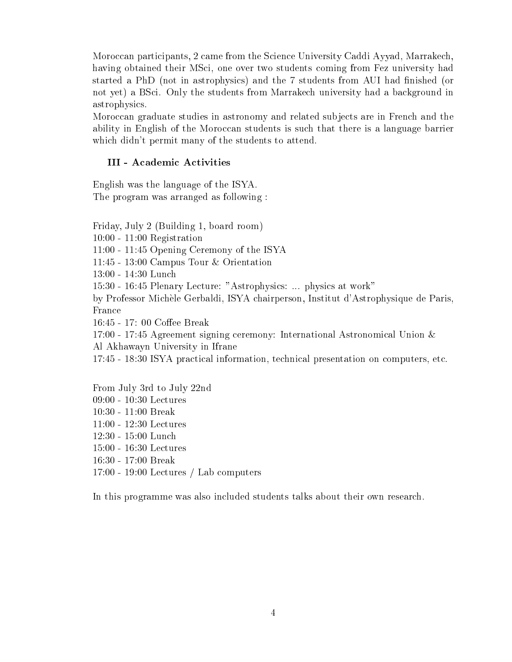Moroccan participants, 2 came from the Science University Caddi Ayyad, Marrakech, having obtained their MSci, one over two students coming from Fez university had started a PhD (not in astrophysics) and the 7 students from AUI had finished (or not yet) a BS
i. Only the students from Marrake
h university had a ba
kground in astrophysi
s.

Moro

an graduate studies in astronomy and related subje
ts are in Fren
h and the ability in English of the Moroccan students is such that there is a language barrier whi
h didn't permit many of the students to attend.

## III - Academic Activities

English was the language of the ISYA. The program was arranged as following :

Friday, July 2 (Building 1, board room)

10:00 - 11:00 Registration

11:00 - 11:45 Opening Ceremony of the ISYA

11:45 - 13:00 Campus Tour & Orientation

13:00 - 14:30 Lun
h

15:30 - 16:45 Plenary Lecture: "Astrophysics: ... physics at work"

by Professor Mi
hele Gerbaldi, ISYA hairperson, Institut d'Astrophysique de Paris, France

16:45 - 17: 00 Coffee Break

17:00 - 17:45 Agreement signing eremony: International Astronomi
al Union & Al Akhawayn University in Ifrane

17:45 - 18:30 ISYA pra
ti
al information, te
hni
al presentation on omputers, et
.

From July 3rd to July 22nd 09:00 - 10:30 Le
tures 10:30 - 11:00 Break 11:00 - 12:30 Le
tures 12:30 - 15:00 Lun
h 15:00 - 16:30 Le
tures 16:30 - 17:00 Break 17:00 - 19:00 Le
tures / Lab omputers

In this programme was also in
luded students talks about their own resear
h.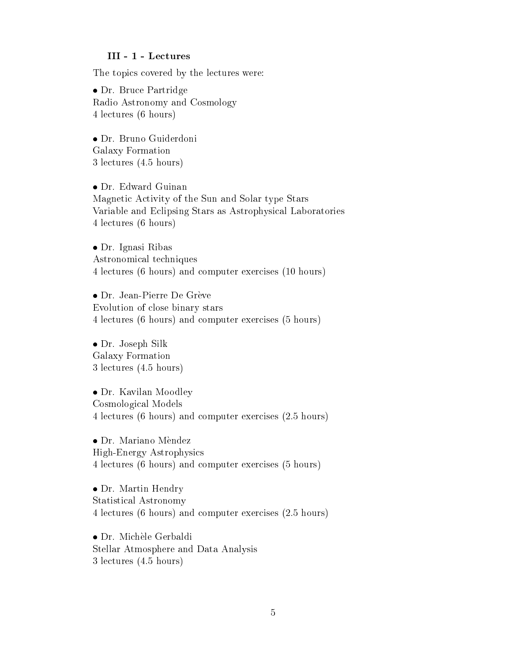#### III - 1 - Le
tures

The topics covered by the lectures were:

 Dr. Bru
e Partridge Radio Astronomy and Cosmology 4 le
tures (6 hours)

 Dr. Bruno Guiderdoni Galaxy Formation 3 le
tures (4.5 hours)

 Dr. Edward Guinan Magnetic Activity of the Sun and Solar type Stars Variable and E
lipsing Stars as Astrophysi
al Laboratories 4 le
tures (6 hours)

 Dr. Ignasi Ribas Astronomi
al te
hniques 4 le
tures (6 hours) and omputer exer
ises (10 hours)

• Dr. Jean-Pierre De Grève Evolution of lose binary stars 4 le
tures (6 hours) and omputer exer
ises (5 hours)

 Dr. Joseph Silk Galaxy Formation 3 le
tures (4.5 hours)

 Dr. Kavilan Moodley Cosmologi
al Models 4 le
tures (6 hours) and omputer exer
ises (2.5 hours)

 Dr. Mariano Mendez High-Energy Astrophysi
s 4 le
tures (6 hours) and omputer exer
ises (5 hours)

 Dr. Martin Hendry Statisti
al Astronomy 4 le
tures (6 hours) and omputer exer
ises (2.5 hours)

 Dr. Mi
hele Gerbaldi Stellar Atmosphere and Data Analysis 3 le
tures (4.5 hours)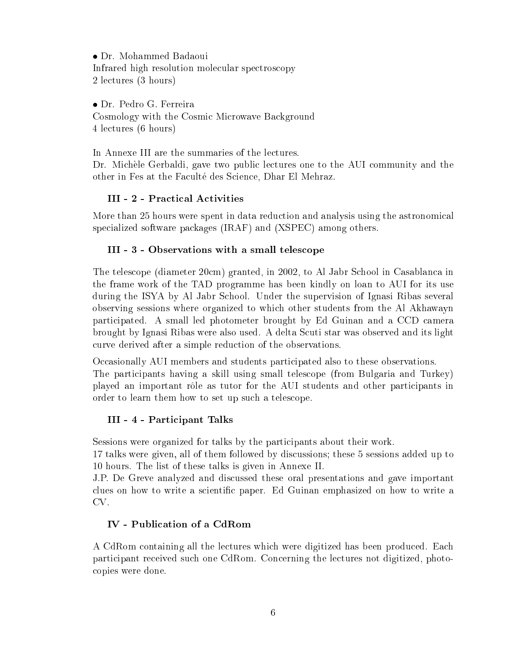Dr. Mohammed Badaoui Infrared high resolution molecular spectroscopy 2 le
tures (3 hours)

 Dr. Pedro G. Ferreira Cosmology with the Cosmic Microwave Background 4 le
tures (6 hours)

In Annexe III are the summaries of the lectures. Dr. Michèle Gerbaldi, gave two public lectures one to the AUI community and the other in Fes at the Faculté des Science, Dhar El Mehraz.

# III - 2 - Practical Activities

More than 25 hours were spent in data reduction and analysis using the astronomical specialized software packages (IRAF) and (XSPEC) among others.

# III - 3 - Observations with a small teles
ope

The teles
ope (diameter 20
m) granted, in 2002, to Al Jabr S
hool in Casablan
a in the frame work of the TAD programme has been kindly on loan to AUI for its use during the ISYA by Al Jabr S
hool. Under the supervision of Ignasi Ribas several observing sessions where organized to whi
h other students from the Al Akhawayn parti
ipated. A small led photometer brought by Ed Guinan and a CCD amera brought by Ignasi Ribas were also used. A delta Scuti star was observed and its light urve derived after a simple redu
tion of the observations.

Occasionally AUI members and students participated also to these observations.

The parti
ipants having a skill using small teles
ope (from Bulgaria and Turkey) played an important rôle as tutor for the AUI students and other participants in order to learn them how to set up su
h a teles
ope.

# III - 4 - Parti
ipant Talks

Sessions were organized for talks by the participants about their work.

17 talks were given, all of them followed by dis
ussions; these 5 sessions added up to 10 hours. The list of these talks is given in Annexe II.

J.P. De Greve analyzed and dis
ussed these oral presentations and gave important clues on how to write a scientific paper. Ed Guinan emphasized on how to write a CV.

# IV - Publi
ation of a CdRom

A CdRom containing all the lectures which were digitized has been produced. Each parti
ipant re
eived su
h one CdRom. Con
erning the le
tures not digitized, photo opies were done.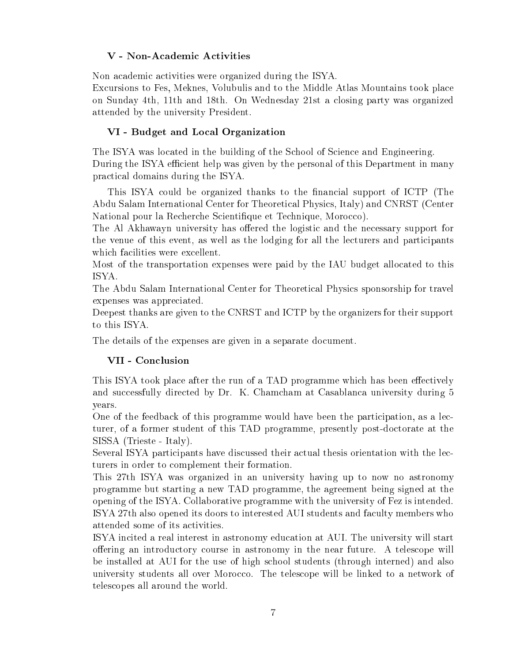# V - Non-Academic Activities

Non academic activities were organized during the ISYA.

Excursions to Fes, Meknes, Volubulis and to the Middle Atlas Mountains took place on Sunday 4th, 11th and 18th. On Wednesday 21st a losing party was organized attended by the university President.

# VI - Budget and Lo
al Organization

The ISYA was located in the building of the School of Science and Engineering. During the ISYA efficient help was given by the personal of this Department in many pra
ti
al domains during the ISYA.

This ISYA could be organized thanks to the financial support of ICTP (The Abdu Salam International Center for Theoreti
al Physi
s, Italy) and CNRST (Center National pour la Recherche Scientifique et Technique, Morocco).

The Al Akhawayn university has offered the logistic and the necessary support for the venue of this event, as well as the lodging for all the lecturers and participants which facilities were excellent.

Most of the transportation expenses were paid by the IAU budget allo
ated to this ISYA.

The Abdu Salam International Center for Theoreti
al Physi
s sponsorship for travel expenses was appreciated.

Deepest thanks are given to the CNRST and ICTP by the organizers for their support to this ISYA.

The details of the expenses are given in a separate document.

# VII - Con
lusion

This ISYA took place after the run of a TAD programme which has been effectively and successfully directed by Dr. K. Chamcham at Casablanca university during 5 years.

One of the feedback of this programme would have been the participation, as a lecturer, of a former student of this TAD programme, presently post-do
torate at the SISSA (Trieste - Italy).

Several ISYA participants have discussed their actual thesis orientation with the lecturers in order to omplement their formation.

This 27th ISYA was organized in an university having up to now no astronomy programme but starting a new TAD programme, the agreement being signed at the opening of the ISYA. Collaborative programme with the university of Fez is intended. ISYA 27th also opened its doors to interested AUI students and faculty members who attended some of its a
tivities.

ISYA incited a real interest in astronomy education at AUI. The university will start offering an introductory course in astronomy in the near future. A telescope will be installed at AUI for the use of high s
hool students (through interned) and also university students all over Morocco. The telescope will be linked to a network of teles
opes all around the world.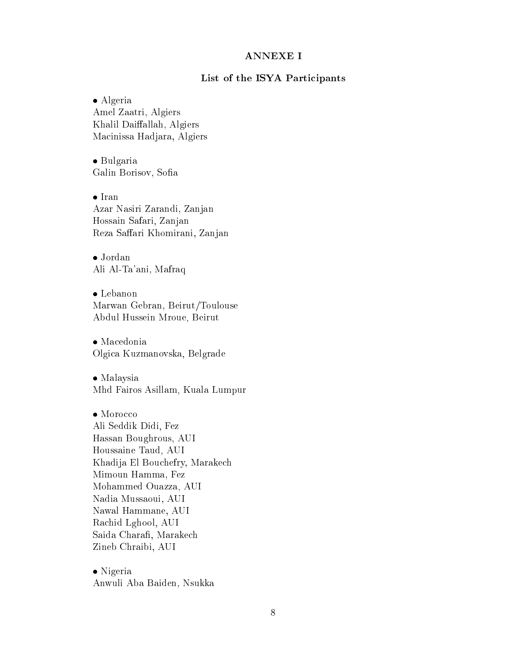## ANNEXE I

## List of the ISYA Participants

 Algeria Amel Zaatri, Algiers Khalil Daiffallah, Algiers Ma
inissa Hadjara, Algiers

 Bulgaria Galin Borisov, Sofia

• Iran Azar Nasiri Zarandi, Zanjan Hossain Safari, Zanjan Reza Saffari Khomirani, Zanjan

 Jordan Ali Al-Ta'ani, Mafraq

 Lebanon Marwan Gebran, Beirut/Toulouse Abdul Hussein Mroue, Beirut

 Ma
edonia Olgi
a Kuzmanovska, Belgrade

• Malaysia Mhd Fairos Asillam, Kuala Lumpur

• Morocco Ali Seddik Didi, Fez Hassan Boughrous, AUI Houssaine Taud, AUI Khadija El Bou
hefry, Marake
h Mimoun Hamma, Fez Mohammed Ouazza, AUI Nadia Mussaoui, AUI Nawal Hammane, AUI Ra
hid Lghool, AUI Saida Charafi, Marakech Zineb Chraibi, AUI

• Nigeria Anwuli Aba Baiden, Nsukka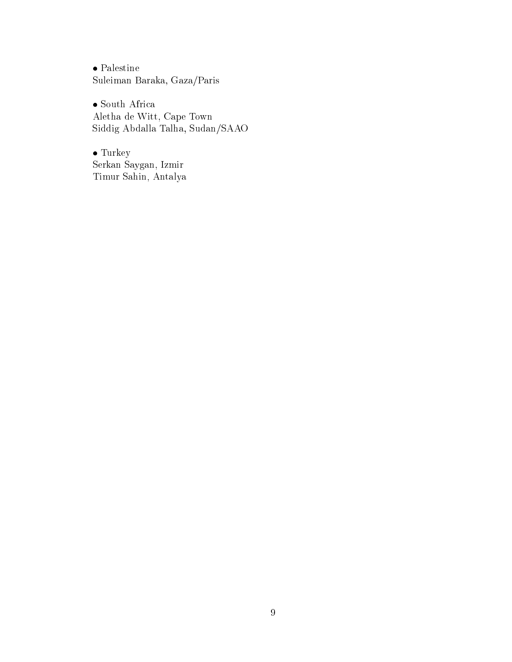$\bullet$  Palestine Suleiman Baraka, Gaza/Paris

 $\bullet$  South Africa Aletha de Witt, Cape Town Siddig Abdalla Talha, Sudan/SAAO

 $\bullet$  Turkey Serkan Saygan, Izmir Timur Sahin, Antalya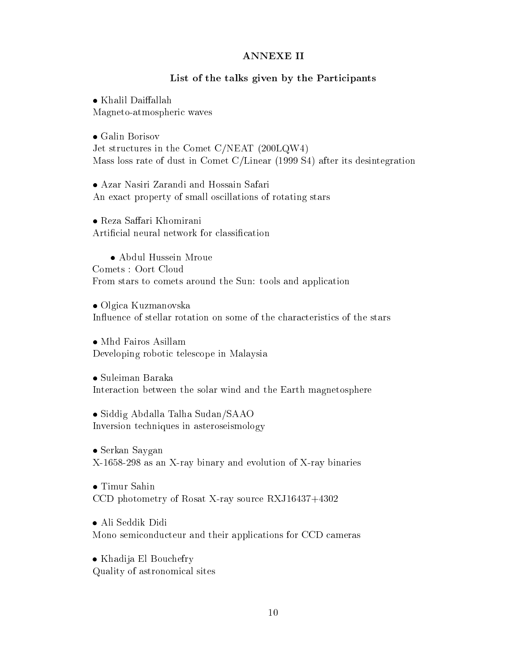## ANNEXE II

## List of the talks given by the Participants

 $\bullet$  Khalil Daiffallah Magneto-atmospheri waves

 Galin Borisov Jet structures in the Comet C/NEAT (200LQW4) Mass loss rate of dust in Comet C/Linear (1999 S4) after its desintegration

 Azar Nasiri Zarandi and Hossain Safari An exact property of small oscillations of rotating stars

• Reza Saffari Khomirani Artificial neural network for classification

 Abdul Hussein Mroue Comets : Oort Cloud From stars to comets around the Sun: tools and application

 Olgi
a Kuzmanovska Influence of stellar rotation on some of the characteristics of the stars

Developing roboti teles
ope in Malaysia

 Suleiman Baraka Intera
tion between the solar wind and the Earth magnetosphere

 Siddig Abdalla Talha Sudan/SAAO Inversion te
hniques in asteroseismology

 Serkan Saygan X-1658-298 as an X-ray binary and evolution of X-ray binaries

 Timur Sahin CCD photometry of Rosat X-ray sour
e RXJ16437+4302

 Ali Seddik Didi Mono semiconducteur and their applications for CCD cameras

 Khadija El Bou
hefry Quality of astronomi
al sites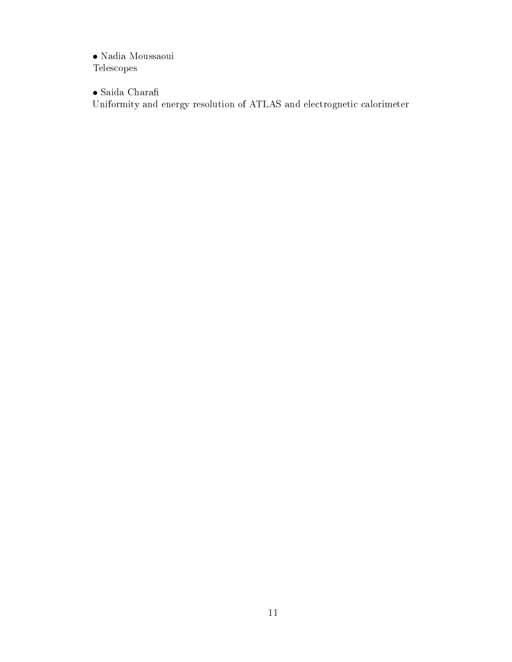$\bullet$ Nadia Moussaoui Teles
opes

 $\bullet$ Saida Charafi

Uniformity and energy resolution of ATLAS and electrognetic calorimeter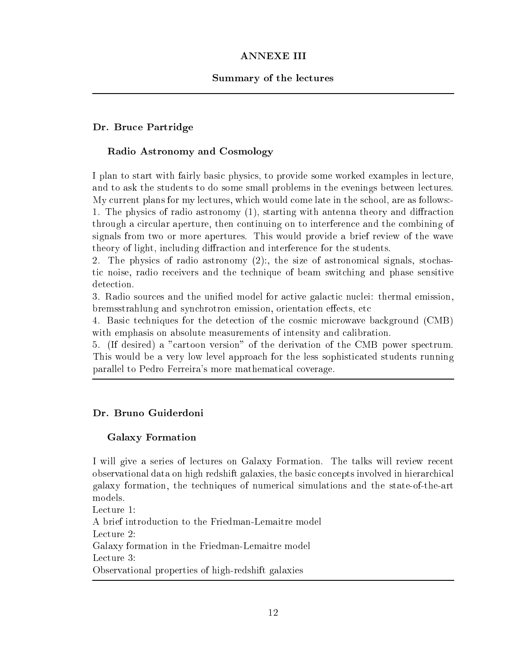# ANNEXE III

## Summary of the lectures

## Dr. Bru
e Partridge

## Radio Astronomy and Cosmology

I plan to start with fairly basic physics, to provide some worked examples in lecture. and to ask the students to do some small problems in the evenings between lectures. My urrent plans for my le
tures, whi
h would ome late in the s
hool, are as follows:- 1. The physics of radio astronomy (1), starting with antenna theory and diffraction through a circular aperture, then continuing on to interference and the combining of signals from two or more apertures. This would provide a brief review of the wave theory of light, including diffraction and interference for the students.

2. The physics of radio astronomy (2):, the size of astronomical signals, stochasti noise, radio re
eivers and the te
hnique of beam swit
hing and phase sensitive detection.

3. Radio sources and the unified model for active galactic nuclei: thermal emission, bremsstrahlung and synchrotron emission, orientation effects, etc.

4. Basi te
hniques for the dete
tion of the osmi mi
rowave ba
kground (CMB) with emphasis on absolute measurements of intensity and calibration.

5. (If desired) a "cartoon version" of the derivation of the CMB power spectrum. This would be a very low level approa
h for the less sophisti
ated students running parallel to Pedro Ferreira's more mathemati
al overage.

## Dr. Bruno Guiderdoni

## Galaxy Formation

I will give a series of lectures on Galaxy Formation. The talks will review recent observational data on high redshift galaxies, the basic concepts involved in hierarchical galaxy formation, the te
hniques of numeri
al simulations and the state-of-the-art models.

Lecture 1: A brief introdu
tion to the Friedman-Lemaitre model Lecture 2: Galaxy formation in the Friedman-Lemaitre model Lecture 3: Observational properties of high-redshift galaxies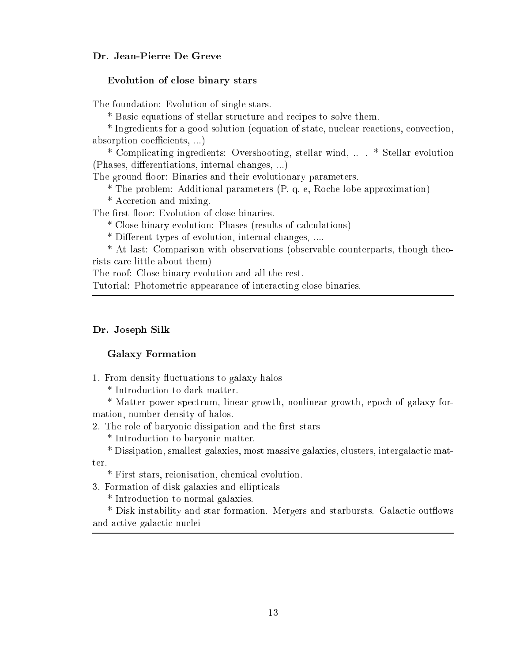## Dr. Jean-Pierre De Greve

#### Evolution of close binary stars

The foundation: Evolution of single stars.

\* Basi equations of stellar stru
ture and re
ipes to solve them.

\* Ingredients for a good solution (equation of state, nuclear reactions, convection, absorption coefficients, ...)

\* Compli
ating ingredients: Overshooting, stellar wind, .. . \* Stellar evolution (Phases, differentiations, internal changes, ...)

The ground floor: Binaries and their evolutionary parameters.

\* The problem: Additional parameters (P, q, e, Ro
he lobe approximation)

\* Accretion and mixing.

The first floor: Evolution of close binaries.

\* Close binary evolution: Phases (results of al
ulations)

\* Different types of evolution, internal changes, ....

\* At last: Comparison with observations (observable ounterparts, though theorists are little about them)

The roof: Close binary evolution and all the rest.

Tutorial: Photometric appearance of interacting close binaries.

#### Dr. Joseph Silk

### Galaxy Formation

1. From density fluctuations to galaxy halos

\* Introdu
tion to dark matter.

\* Matter power spe
trum, linear growth, nonlinear growth, epo
h of galaxy formation, number density of halos.

2. The role of baryonic dissipation and the first stars

\* Introdu
tion to baryoni matter.

\* Dissipation, smallest galaxies, most massive galaxies, clusters, intergalactic matter.

\* First stars, reionisation, hemi
al evolution.

3. Formation of disk galaxies and ellipti
als

\* Introdu
tion to normal galaxies.

\* Disk instability and star formation. Mergers and starbursts. Galactic outflows and active galactic nuclei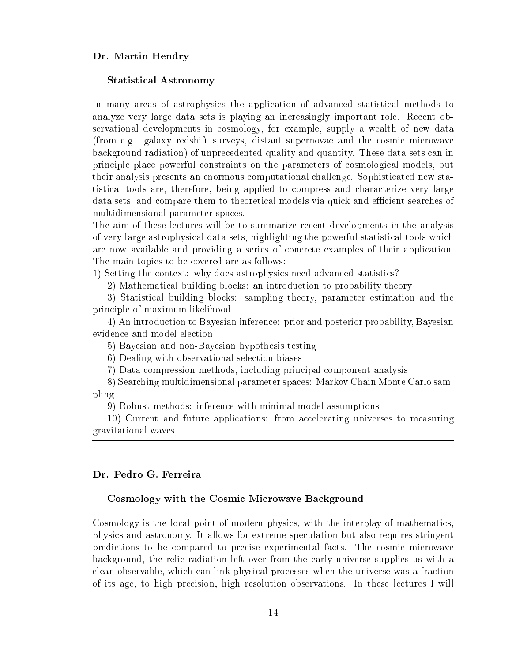### Dr. Martin Hendry

#### Statisti
al Astronomy

In many areas of astrophysics the application of advanced statistical methods to analyze very large data sets is playing an increasingly important role. Recent observational developments in osmology, for example, supply a wealth of new data (from e.g. galaxy redshift surveys, distant supernovae and the cosmic microwave ba
kground radiation) of unpre
edented quality and quantity. These data sets an in prin
iple pla
e powerful onstraints on the parameters of osmologi
al models, but their analysis presents an enormous omputational hallenge. Sophisti
ated new statistical tools are, therefore, being applied to compress and characterize very large data sets, and compare them to theoretical models via quick and efficient searches of multidimensional parameter spa
es.

The aim of these lectures will be to summarize recent developments in the analysis of very large astrophysi
al data sets, highlighting the powerful statisti
al tools whi
h are now available and providing a series of concrete examples of their application. The main topics to be covered are as follows:

1) Setting the ontext: why does astrophysi
s need advan
ed statisti
s?

2) Mathematical building blocks: an introduction to probability theory

3) Statisti
al building blo
ks: sampling theory, parameter estimation and the prin
iple of maximum likelihood

4) An introdu
tion to Bayesian inferen
e: prior and posterior probability, Bayesian eviden
e and model ele
tion

5) Bayesian and non-Bayesian hypothesis testing

6) Dealing with observational sele
tion biases

7) Data ompression methods, in
luding prin
ipal omponent analysis

8) Sear
hing multidimensional parameter spa
es: Markov Chain Monte Carlo sampling

9) Robust methods: inferen
e with minimal model assumptions

10) Current and future applications: from accelerating universes to measuring gravitational waves

#### Dr. Pedro G. Ferreira

#### Cosmology with the Cosmic Microwave Background

Cosmology is the focal point of modern physics, with the interplay of mathematics, physi
s and astronomy. It allows for extreme spe
ulation but also requires stringent predictions to be compared to precise experimental facts. The cosmic microwave ba
kground, the reli radiation left over from the early universe supplies us with a clean observable, which can link physical processes when the universe was a fraction of its age, to high pre
ision, high resolution observations. In these le
tures I will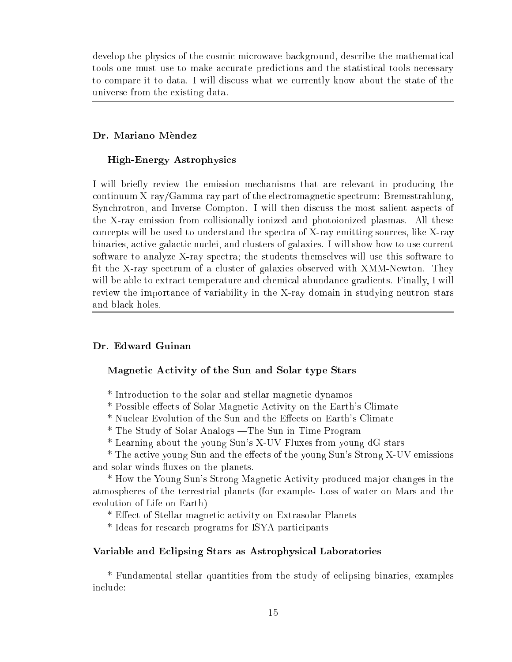develop the physics of the cosmic microwave background, describe the mathematical tools one must use to make accurate predictions and the statistical tools necessary to compare it to data. I will discuss what we currently know about the state of the universe from the existing data.

## Dr. Mariano Mendez

## High-Energy Astrophysi
s

I will briefly review the emission mechanisms that are relevant in producing the continuum X-ray/Gamma-ray part of the electromagnetic spectrum: Bremsstrahlung, Synchrotron, and Inverse Compton. I will then discuss the most salient aspects of the X-ray emission from ollisionally ionized and photoionized plasmas. All these on
epts will be used to understand the spe
tra of X-ray emitting sour
es, like X-ray binaries, active galactic nuclei, and clusters of galaxies. I will show how to use current software to analyze X-ray spectra; the students themselves will use this software to fit the X-ray spectrum of a cluster of galaxies observed with XMM-Newton. They will be able to extract temperature and chemical abundance gradients. Finally, I will review the importan
e of variability in the X-ray domain in studying neutron stars and black holes.

## Dr. Edward Guinan

## Magneti A
tivity of the Sun and Solar type Stars

- \* Introdu
tion to the solar and stellar magneti dynamos
- \* Possible effects of Solar Magnetic Activity on the Earth's Climate
- \* Nuclear Evolution of the Sun and the Effects on Earth's Climate
- \* The Study of Solar Analogs —The Sun in Time Program
- \* Learning about the young Sun's X-UV Fluxes from young dG stars

\* The active young Sun and the effects of the young Sun's Strong X-UV emissions and solar winds fluxes on the planets.

\* How the Young Sun's Strong Magneti A
tivity produ
ed major hanges in the atmospheres of the terrestrial planets (for example- Loss of water on Mars and the evolution of Life on Earth)

\* Effect of Stellar magnetic activity on Extrasolar Planets

\* Ideas for resear
h programs for ISYA parti
ipants

#### Variable and E
lipsing Stars as Astrophysi
al Laboratories

\* Fundamental stellar quantities from the study of e
lipsing binaries, examples in
lude: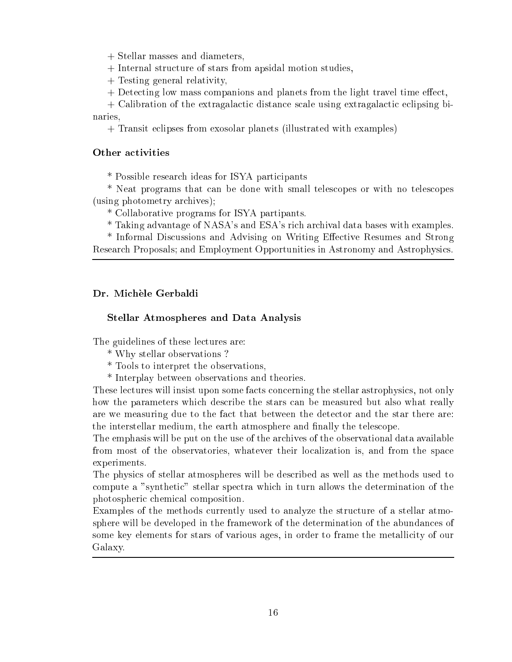+ Stellar masses and diameters,

+ Internal stru
ture of stars from apsidal motion studies,

+ Testing general relativity,

+ Detecting low mass companions and planets from the light travel time effect,

+ Calibration of the extragalactic distance scale using extragalactic eclipsing bi**naries, 200** 

+ Transit e
lipses from exosolar planets (illustrated with examples)

## Other activities

\* Possible resear
h ideas for ISYA parti
ipants

\* Neat programs that an be done with small teles
opes or with no teles
opes (using photometry ar
hives);

\* Collaborative programs for ISYA partipants.

\* Taking advantage of NASA's and ESA's ri
h ar
hival data bases with examples.

\* Informal Discussions and Advising on Writing Effective Resumes and Strong Resear
h Proposals; and Employment Opportunities in Astronomy and Astrophysi
s.

## Dr. Michèle Gerbaldi

## Stellar Atmospheres and Data Analysis

The guidelines of these lectures are:

- \* Why stellar observations ?
- \* Tools to interpret the observations,
- \* Interplay between observations and theories.

These lectures will insist upon some facts concerning the stellar astrophysics, not only how the parameters whi
h des
ribe the stars an be measured but also what really are we measuring due to the fact that between the detector and the star there are: the interstellar medium, the earth atmosphere and finally the telescope.

The emphasis will be put on the use of the archives of the observational data available from most of the observatories, whatever their localization is, and from the space experiments.

The physi
s of stellar atmospheres will be des
ribed as well as the methods used to ompute a "syntheti
" stellar spe
tra whi
h in turn allows the determination of the photospheri hemi
al omposition.

Examples of the methods currently used to analyze the structure of a stellar atmosphere will be developed in the framework of the determination of the abundan
es of some key elements for stars of various ages, in order to frame the metallicity of our Galaxy.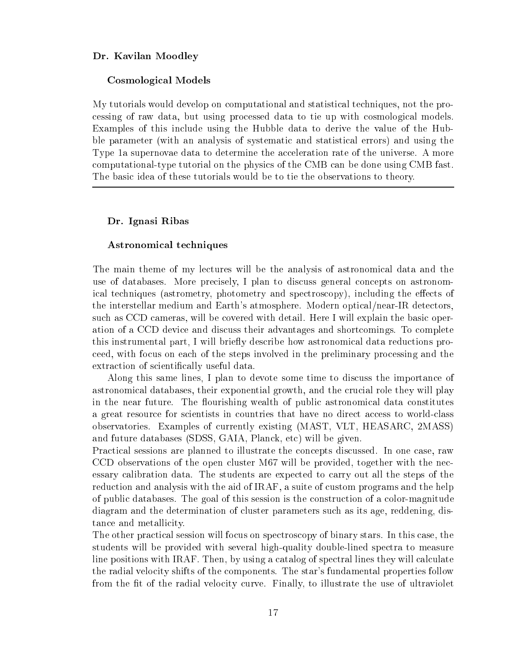### Dr. Kavilan Moodley

#### Cosmologi
al Models

My tutorials would develop on omputational and statisti
al te
hniques, not the pro essing of raw data, but using pro
essed data to tie up with osmologi
al models. Examples of this include using the Hubble data to derive the value of the Hubble parameter (with an analysis of systemati and statisti
al errors) and using the Type 1a supernovae data to determine the acceleration rate of the universe. A more omputational-type tutorial on the physi
s of the CMB an be done using CMB fast. The basi idea of these tutorials would be to tie the observations to theory.

#### Dr. Ignasi Ribas

#### Astronomi
al te
hniques

The main theme of my lectures will be the analysis of astronomical data and the use of databases. More precisely, I plan to discuss general concepts on astronomical techniques (astrometry, photometry and spectroscopy), including the effects of the interstellar medium and Earth's atmosphere. Modern optical/near-IR detectors, su
h as CCD ameras, will be overed with detail. Here I will explain the basi operation of a CCD devi
e and dis
uss their advantages and short
omings. To omplete this instrumental part, I will briefly describe how astronomical data reductions proeed, with fo
us on ea
h of the steps involved in the preliminary pro
essing and the extraction of scientifically useful data.

Along this same lines, I plan to devote some time to discuss the importance of astronomical databases, their exponential growth, and the crucial role they will play in the near future. The flourishing wealth of public astronomical data constitutes a great resource for scientists in countries that have no direct access to world-class observatories. Examples of urrently existing (MAST, VLT, HEASARC, 2MASS) and future databases (SDSS, GAIA, Planck, etc) will be given.

Practical sessions are planned to illustrate the concepts discussed. In one case, raw CCD observations of the open cluster M67 will be provided, together with the necessary alibration data. The students are expe
ted to arry out all the steps of the reduction and analysis with the aid of IRAF, a suite of custom programs and the help of publi databases. The goal of this session is the onstru
tion of a olor-magnitude diagram and the determination of cluster parameters such as its age, reddening, distance and metallicity.

The other practical session will focus on spectroscopy of binary stars. In this case, the students will be provided with several high-quality double-lined spectra to measure line positions with IRAF. Then, by using a catalog of spectral lines they will calculate the radial velo
ity shifts of the omponents. The star's fundamental properties follow from the fit of the radial velocity curve. Finally, to illustrate the use of ultraviolet